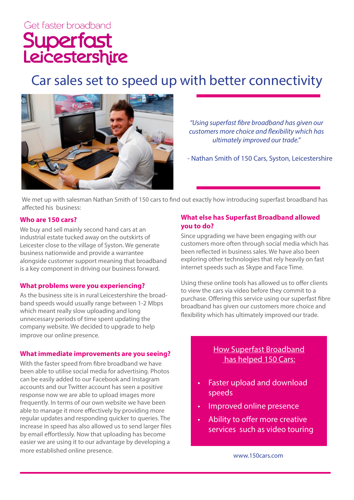# Car sales set to speed up with better connectivity



*"Using superfast fibre broadband has given our customers more choice and flexibility which has ultimately improved our trade."*

- Nathan Smith of 150 Cars, Syston, Leicestershire

We met up with salesman Nathan Smith of 150 cars to find out exactly how introducing superfast broadband has affected his business:

#### **Who are 150 cars?**

We buy and sell mainly second hand cars at an industrial estate tucked away on the outskirts of Leicester close to the village of Syston. We generate business nationwide and provide a warrantee alongside customer support meaning that broadband is a key component in driving our business forward.

#### **What problems were you experiencing?**

As the business site is in rural Leicestershire the broadband speeds would usually range between 1-2 Mbps which meant really slow uploading and long unnecessary periods of time spent updating the company website. We decided to upgrade to help improve our online presence.

#### **What immediate improvements are you seeing?**

With the faster speed from fibre broadband we have been able to utilise social media for advertising. Photos can be easily added to our Facebook and Instagram accounts and our Twitter account has seen a positive response now we are able to upload images more frequently. In terms of our own website we have been able to manage it more effectively by providing more regular updates and responding quicker to queries. The increase in speed has also allowed us to send larger files by email effortlessly. Now that uploading has become easier we are using it to our advantage by developing a more established online presence.

# **What else has Superfast Broadband allowed you to do?**

Since upgrading we have been engaging with our customers more often through social media which has been reflected in business sales. We have also been exploring other technologies that rely heavily on fast internet speeds such as Skype and Face Time.

Using these online tools has allowed us to offer clients to view the cars via video before they commit to a purchase. Offering this service using our superfast fibre broadband has given our customers more choice and flexibility which has ultimately improved our trade.

# How Superfast Broadband has helped 150 Cars:

- Faster upload and download speeds
- Improved online presence
- Ability to offer more creative services such as video touring

www.150cars.com